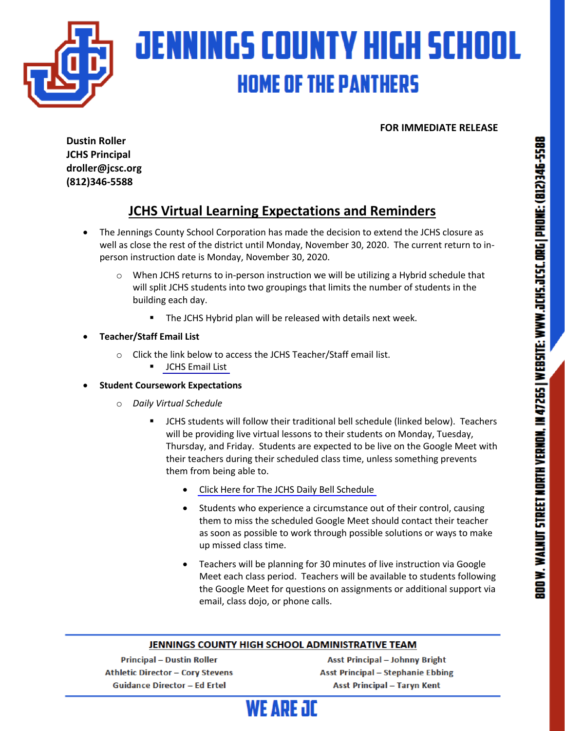

**FOR IMMEDIATE RELEASE**

**Dustin Roller JCHS Principal droller@jcsc.org (812)346-5588**

# **JCHS Virtual Learning Expectations and Reminders**

- The Jennings County School Corporation has made the decision to extend the JCHS closure as well as close the rest of the district until Monday, November 30, 2020. The current return to inperson instruction date is Monday, November 30, 2020.
	- $\circ$  When JCHS returns to in-person instruction we will be utilizing a Hybrid schedule that will split JCHS students into two groupings that limits the number of students in the building each day.
		- The JCHS Hybrid plan will be released with details next week.
- **Teacher/Staff Email List**
	- o Click the link below to access the JCHS Teacher/Staff email list.
		- **•** [JCHS Email List](https://drive.google.com/file/d/1W1-E9Ym_iKLql0-R3AsOVpoDwqcn-IO5/view?usp=sharing)
- **Student Coursework Expectations**
	- o *Daily Virtual Schedule*
		- § JCHS students will follow their traditional bell schedule (linked below). Teachers will be providing live virtual lessons to their students on Monday, Tuesday, Thursday, and Friday. Students are expected to be live on the Google Meet with their teachers during their scheduled class time, unless something prevents them from being able to.
			- [Click Here for The JCHS Daily Bell Schedule](https://drive.google.com/file/d/1fhilNmaJfcuX-0oH1EZXfpVRkFrQKejM/view?usp=sharing)
			- Students who experience a circumstance out of their control, causing them to miss the scheduled Google Meet should contact their teacher as soon as possible to work through possible solutions or ways to make up missed class time.
			- Teachers will be planning for 30 minutes of live instruction via Google Meet each class period. Teachers will be available to students following the Google Meet for questions on assignments or additional support via email, class dojo, or phone calls.

### JENNINGS COUNTY HIGH SCHOOL ADMINISTRATIVE TEAM

**Principal - Dustin Roller Athletic Director - Cory Stevens Guidance Director - Ed Ertel** 

**Asst Principal - Johnny Bright Asst Principal - Stephanie Ebbing Asst Principal - Taryn Kent** 

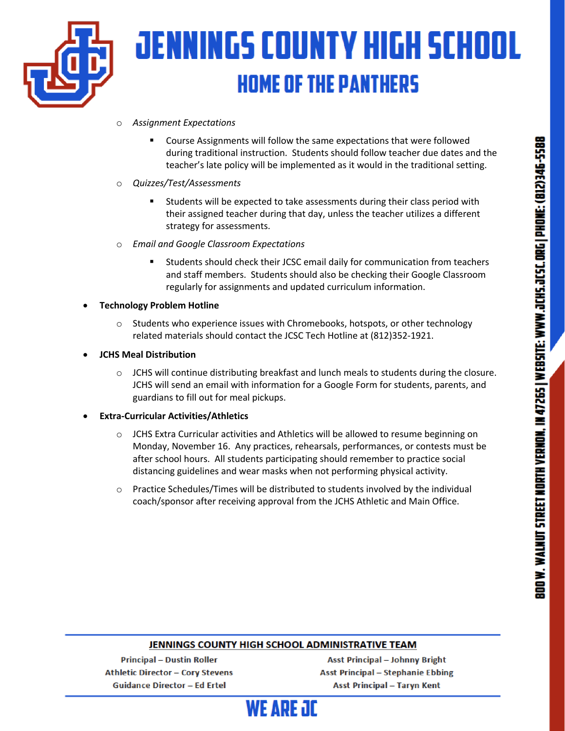

# **JENNINGS COUNTY HIGH SCHOOL HOME OF THE PANTHERS**

- o *Assignment Expectations*
	- § Course Assignments will follow the same expectations that were followed during traditional instruction. Students should follow teacher due dates and the teacher's late policy will be implemented as it would in the traditional setting.
- o *Quizzes/Test/Assessments*
	- Students will be expected to take assessments during their class period with their assigned teacher during that day, unless the teacher utilizes a different strategy for assessments.
- o *Email and Google Classroom Expectations*
	- Students should check their JCSC email daily for communication from teachers and staff members. Students should also be checking their Google Classroom regularly for assignments and updated curriculum information.
- **Technology Problem Hotline**
	- $\circ$  Students who experience issues with Chromebooks, hotspots, or other technology related materials should contact the JCSC Tech Hotline at (812)352-1921.
- **JCHS Meal Distribution**
	- $\circ$  JCHS will continue distributing breakfast and lunch meals to students during the closure. JCHS will send an email with information for a Google Form for students, parents, and guardians to fill out for meal pickups.
- **Extra-Curricular Activities/Athletics**
	- $\circ$  JCHS Extra Curricular activities and Athletics will be allowed to resume beginning on Monday, November 16. Any practices, rehearsals, performances, or contests must be after school hours. All students participating should remember to practice social distancing guidelines and wear masks when not performing physical activity.
	- $\circ$  Practice Schedules/Times will be distributed to students involved by the individual coach/sponsor after receiving approval from the JCHS Athletic and Main Office.

## JENNINGS COUNTY HIGH SCHOOL ADMINISTRATIVE TEAM

**Principal - Dustin Roller Athletic Director - Cory Stevens Guidance Director - Ed Ertel** 

**Asst Principal - Johnny Bright Asst Principal - Stephanie Ebbing Asst Principal - Taryn Kent**